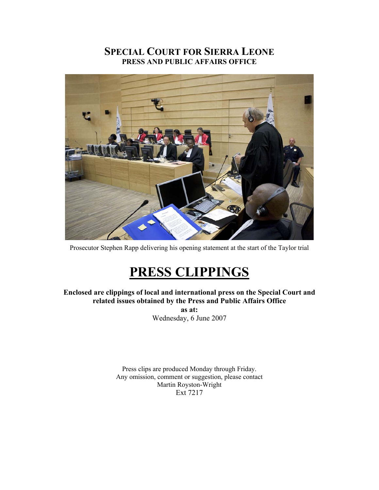## **SPECIAL COURT FOR SIERRA LEONE PRESS AND PUBLIC AFFAIRS OFFICE**



Prosecutor Stephen Rapp delivering his opening statement at the start of the Taylor trial

# **PRESS CLIPPINGS**

**Enclosed are clippings of local and international press on the Special Court and related issues obtained by the Press and Public Affairs Office as at:** 

Wednesday, 6 June 2007

Press clips are produced Monday through Friday. Any omission, comment or suggestion, please contact Martin Royston-Wright Ext 7217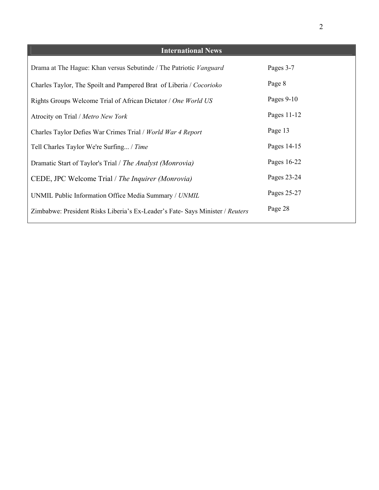| <b>International News</b>                                                     |              |
|-------------------------------------------------------------------------------|--------------|
| Drama at The Hague: Khan versus Sebutinde / The Patriotic Vanguard            | Pages 3-7    |
| Charles Taylor, The Spoilt and Pampered Brat of Liberia / Cocorioko           | Page 8       |
| Rights Groups Welcome Trial of African Dictator / One World US                | Pages $9-10$ |
| Atrocity on Trial / Metro New York                                            | Pages 11-12  |
| Charles Taylor Defies War Crimes Trial / World War 4 Report                   | Page 13      |
| Tell Charles Taylor We're Surfing / Time                                      | Pages 14-15  |
| Dramatic Start of Taylor's Trial / The Analyst (Monrovia)                     | Pages 16-22  |
| CEDE, JPC Welcome Trial / The Inquirer (Monrovia)                             | Pages 23-24  |
| UNMIL Public Information Office Media Summary / UNMIL                         | Pages 25-27  |
| Zimbabwe: President Risks Liberia's Ex-Leader's Fate- Says Minister / Reuters | Page 28      |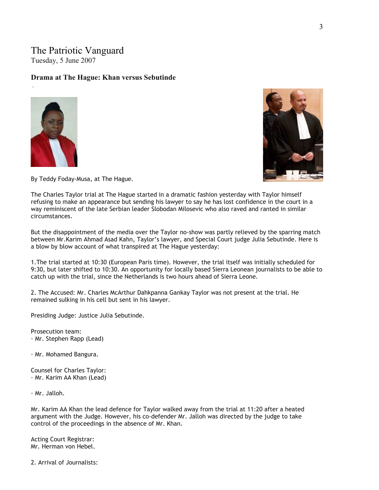# The Patriotic Vanguard

Tuesday, 5 June 2007

### **Drama at The Hague: Khan versus Sebutinde**



.



By Teddy Foday-Musa, at The Hague.

The Charles Taylor trial at The Hague started in a dramatic fashion yesterday with Taylor himself refusing to make an appearance but sending his lawyer to say he has lost confidence in the court in a way reminiscent of the late Serbian leader Slobodan Milosevic who also raved and ranted in similar circumstances.

But the disappointment of the media over the Taylor no-show was partly relieved by the sparring match between Mr.Karim Ahmad Asad Kahn, Taylor's lawyer, and Special Court judge Julia Sebutinde. Here is a blow by blow account of what transpired at The Hague yesterday:

1.The trial started at 10:30 (European Paris time). However, the trial itself was initially scheduled for 9:30, but later shifted to 10:30. An opportunity for locally based Sierra Leonean journalists to be able to catch up with the trial, since the Netherlands is two hours ahead of Sierra Leone.

2. The Accused: Mr. Charles McArthur Dahkpanna Gankay Taylor was not present at the trial. He remained sulking in his cell but sent in his lawyer.

Presiding Judge: Justice Julia Sebutinde.

Prosecution team: · Mr. Stephen Rapp (Lead)

· Mr. Mohamed Bangura.

Counsel for Charles Taylor: · Mr. Karim AA Khan (Lead)

· Mr. Jalloh.

Mr. Karim AA Khan the lead defence for Taylor walked away from the trial at 11:20 after a heated argument with the Judge. However, his co-defender Mr. Jalloh was directed by the judge to take control of the proceedings in the absence of Mr. Khan.

Acting Court Registrar: Mr. Herman von Hebel.

2. Arrival of Journalists: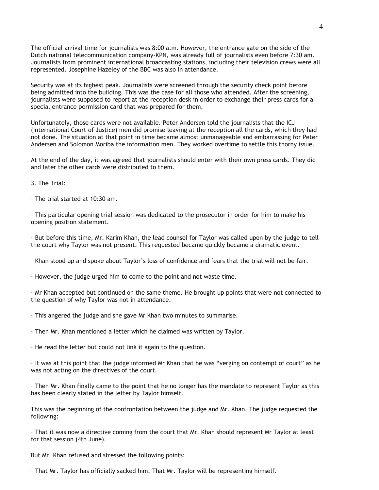The official arrival time for journalists was 8:00 a.m. However, the entrance gate on the side of the Dutch national telecommunication company-KPN, was already full of journalists even before 7:30 am. Journalists from prominent international broadcasting stations, including their television crews were all represented. Josephine Hazeley of the BBC was also in attendance.

Security was at its highest peak. Journalists were screened through the security check point before being admitted into the building. This was the case for all those who attended. After the screening, journalists were supposed to report at the reception desk in order to exchange their press cards for a special entrance permission card that was prepared for them.

Unfortunately, those cards were not available. Peter Andersen told the journalists that the ICJ (International Court of Justice) men did promise leaving at the reception all the cards, which they had not done. The situation at that point in time became almost unmanageable and embarrassing for Peter Andersen and Solomon Moriba the information men. They worked overtime to settle this thorny issue.

At the end of the day, it was agreed that journalists should enter with their own press cards. They did and later the other cards were distributed to them.

3. The Trial:

· The trial started at 10:30 am.

· This particular opening trial session was dedicated to the prosecutor in order for him to make his opening position statement.

· But before this time, Mr. Karim Khan, the lead counsel for Taylor was called upon by the judge to tell the court why Taylor was not present. This requested became quickly became a dramatic event.

· Khan stood up and spoke about Taylor's loss of confidence and fears that the trial will not be fair.

· However, the judge urged him to come to the point and not waste time.

· Mr Khan accepted but continued on the same theme. He brought up points that were not connected to the question of why Taylor was not in attendance.

· This angered the judge and she gave Mr Khan two minutes to summarise.

· Then Mr. Khan mentioned a letter which he claimed was written by Taylor.

· He read the letter but could not link it again to the question.

· It was at this point that the judge informed Mr Khan that he was "verging on contempt of court" as he was not acting on the directives of the court.

· Then Mr. Khan finally came to the point that he no longer has the mandate to represent Taylor as this has been clearly stated in the letter by Taylor himself.

This was the beginning of the confrontation between the judge and Mr. Khan. The judge requested the following:

· That it was now a directive coming from the court that Mr. Khan should represent Mr Taylor at least for that session (4th June).

But Mr. Khan refused and stressed the following points:

· That Mr. Taylor has officially sacked him. That Mr. Taylor will be representing himself.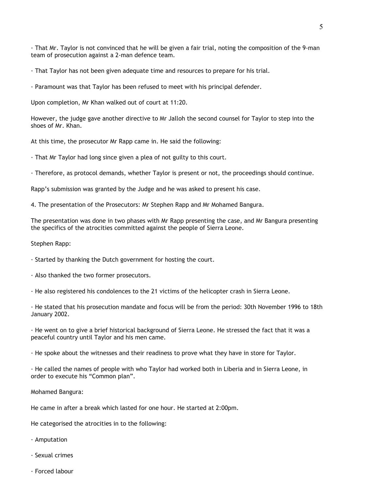· That Mr. Taylor is not convinced that he will be given a fair trial, noting the composition of the 9-man team of prosecution against a 2-man defence team.

· That Taylor has not been given adequate time and resources to prepare for his trial.

· Paramount was that Taylor has been refused to meet with his principal defender.

Upon completion, Mr Khan walked out of court at 11:20.

However, the judge gave another directive to Mr Jalloh the second counsel for Taylor to step into the shoes of Mr. Khan.

At this time, the prosecutor Mr Rapp came in. He said the following:

· That Mr Taylor had long since given a plea of not guilty to this court.

· Therefore, as protocol demands, whether Taylor is present or not, the proceedings should continue.

Rapp's submission was granted by the Judge and he was asked to present his case.

4. The presentation of the Prosecutors: Mr Stephen Rapp and Mr Mohamed Bangura.

The presentation was done in two phases with Mr Rapp presenting the case, and Mr Bangura presenting the specifics of the atrocities committed against the people of Sierra Leone.

Stephen Rapp:

· Started by thanking the Dutch government for hosting the court.

· Also thanked the two former prosecutors.

· He also registered his condolences to the 21 victims of the helicopter crash in Sierra Leone.

· He stated that his prosecution mandate and focus will be from the period: 30th November 1996 to 18th January 2002.

· He went on to give a brief historical background of Sierra Leone. He stressed the fact that it was a peaceful country until Taylor and his men came.

· He spoke about the witnesses and their readiness to prove what they have in store for Taylor.

· He called the names of people with who Taylor had worked both in Liberia and in Sierra Leone, in order to execute his "Common plan".

Mohamed Bangura:

He came in after a break which lasted for one hour. He started at 2:00pm.

He categorised the atrocities in to the following:

· Amputation

- · Sexual crimes
- · Forced labour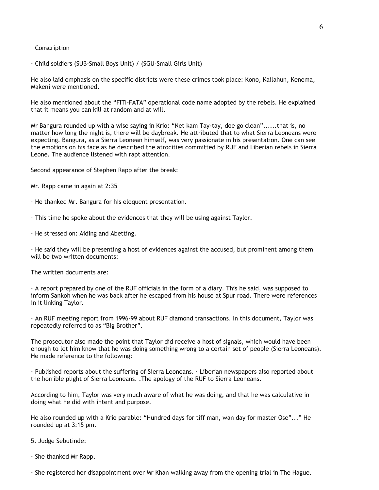#### · Conscription

· Child soldiers (SUB-Small Boys Unit) / (SGU-Small Girls Unit)

He also laid emphasis on the specific districts were these crimes took place: Kono, Kailahun, Kenema, Makeni were mentioned.

He also mentioned about the "FITI-FATA" operational code name adopted by the rebels. He explained that it means you can kill at random and at will.

Mr Bangura rounded up with a wise saying in Krio: "Net kam Tay-tay, doe go clean"......that is, no matter how long the night is, there will be daybreak. He attributed that to what Sierra Leoneans were expecting. Bangura, as a Sierra Leonean himself, was very passionate in his presentation. One can see the emotions on his face as he described the atrocities committed by RUF and Liberian rebels in Sierra Leone. The audience listened with rapt attention.

Second appearance of Stephen Rapp after the break:

Mr. Rapp came in again at 2:35

· He thanked Mr. Bangura for his eloquent presentation.

· This time he spoke about the evidences that they will be using against Taylor.

· He stressed on: Aiding and Abetting.

· He said they will be presenting a host of evidences against the accused, but prominent among them will be two written documents:

The written documents are:

· A report prepared by one of the RUF officials in the form of a diary. This he said, was supposed to inform Sankoh when he was back after he escaped from his house at Spur road. There were references in it linking Taylor.

· An RUF meeting report from 1996-99 about RUF diamond transactions. In this document, Taylor was repeatedly referred to as "Big Brother".

The prosecutor also made the point that Taylor did receive a host of signals, which would have been enough to let him know that he was doing something wrong to a certain set of people (Sierra Leoneans). He made reference to the following:

· Published reports about the suffering of Sierra Leoneans. · Liberian newspapers also reported about the horrible plight of Sierra Leoneans. .The apology of the RUF to Sierra Leoneans.

According to him, Taylor was very much aware of what he was doing, and that he was calculative in doing what he did with intent and purpose.

He also rounded up with a Krio parable: "Hundred days for tiff man, wan day for master Ose"..." He rounded up at 3:15 pm.

5. Judge Sebutinde:

· She thanked Mr Rapp.

· She registered her disappointment over Mr Khan walking away from the opening trial in The Hague.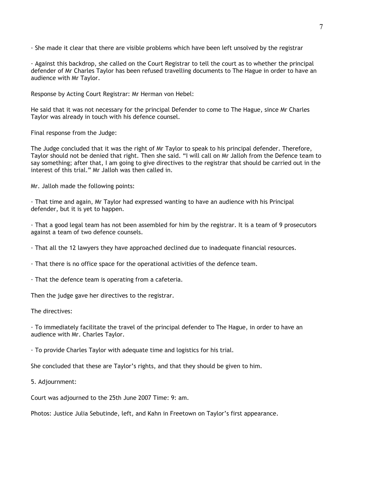· She made it clear that there are visible problems which have been left unsolved by the registrar

· Against this backdrop, she called on the Court Registrar to tell the court as to whether the principal defender of Mr Charles Taylor has been refused travelling documents to The Hague in order to have an audience with Mr Taylor.

Response by Acting Court Registrar: Mr Herman von Hebel:

He said that it was not necessary for the principal Defender to come to The Hague, since Mr Charles Taylor was already in touch with his defence counsel.

Final response from the Judge:

The Judge concluded that it was the right of Mr Taylor to speak to his principal defender. Therefore, Taylor should not be denied that right. Then she said. "I will call on Mr Jalloh from the Defence team to say something; after that, I am going to give directives to the registrar that should be carried out in the interest of this trial." Mr Jalloh was then called in.

Mr. Jalloh made the following points:

· That time and again, Mr Taylor had expressed wanting to have an audience with his Principal defender, but it is yet to happen.

· That a good legal team has not been assembled for him by the registrar. It is a team of 9 prosecutors against a team of two defence counsels.

· That all the 12 lawyers they have approached declined due to inadequate financial resources.

· That there is no office space for the operational activities of the defence team.

· That the defence team is operating from a cafeteria.

Then the judge gave her directives to the registrar.

The directives:

· To immediately facilitate the travel of the principal defender to The Hague, in order to have an audience with Mr. Charles Taylor.

· To provide Charles Taylor with adequate time and logistics for his trial.

She concluded that these are Taylor's rights, and that they should be given to him.

5. Adjournment:

Court was adjourned to the 25th June 2007 Time: 9: am.

Photos: Justice Julia Sebutinde, left, and Kahn in Freetown on Taylor's first appearance.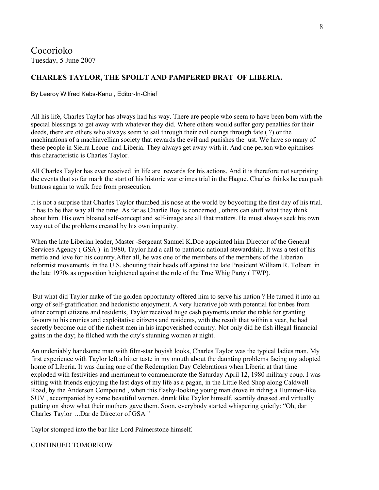Cocorioko Tuesday, 5 June 2007

#### **CHARLES TAYLOR, THE SPOILT AND PAMPERED BRAT OF LIBERIA.**

By Leeroy Wilfred Kabs-Kanu , Editor-In-Chief

All his life, Charles Taylor has always had his way. There are people who seem to have been born with the special blessings to get away with whatever they did. Where others would suffer gory penalties for their deeds, there are others who always seem to sail through their evil doings through fate ( ?) or the machinations of a machiavellian society that rewards the evil and punishes the just. We have so many of these people in Sierra Leone and Liberia. They always get away with it. And one person who epitmises this characteristic is Charles Taylor.

All Charles Taylor has ever received in life are rewards for his actions. And it is therefore not surprising the events that so far mark the start of his historic war crimes trial in the Hague. Charles thinks he can push buttons again to walk free from prosecution.

It is not a surprise that Charles Taylor thumbed his nose at the world by boycotting the first day of his trial. It has to be that way all the time. As far as Charlie Boy is concerned , others can stuff what they think about him. His own bloated self-concept and self-image are all that matters. He must always seek his own way out of the problems created by his own impunity.

When the late Liberian leader, Master -Sergeant Samuel K.Doe appointed him Director of the General Services Agency ( GSA ) in 1980, Taylor had a call to patriotic national stewardship. It was a test of his mettle and love for his country.After all, he was one of the members of the members of the Liberian reformist movements in the U.S. shouting their heads off against the late President William R. Tolbert in the late 1970s as opposition heightened against the rule of the True Whig Party ( TWP).

 But what did Taylor make of the golden opportunity offered him to serve his nation ? He turned it into an orgy of self-gratification and hedonistic enjoyment. A very lucrative job with potential for bribes from other corrupt citizens and residents, Taylor received huge cash payments under the table for granting favours to his cronies and exploitative citizens and residents, with the result that within a year, he had secretly become one of the richest men in his impoverished country. Not only did he fish illegal financial gains in the day; he filched with the city's stunning women at night.

An undeniably handsome man with film-star boyish looks, Charles Taylor was the typical ladies man. My first experience with Taylor left a bitter taste in my mouth about the daunting problems facing my adopted home of Liberia. It was during one of the Redemption Day Celebrations when Liberia at that time exploded with festivities and merriment to commemorate the Saturday April 12, 1980 military coup. I was sitting with friends enjoying the last days of my life as a pagan, in the Little Red Shop along Caldwell Road, by the Anderson Compound , when this flashy-looking young man drove in riding a Hummer-like SUV , accompanied by some beautiful women, drunk like Taylor himself, scantily dressed and virtually putting on show what their mothers gave them. Soon, everybody started whispering quietly: "Oh, dar Charles Taylor ...Dar de Director of GSA "

Taylor stomped into the bar like Lord Palmerstone himself.

#### CONTINUED TOMORROW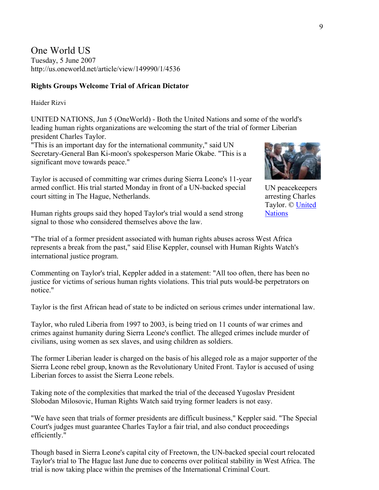One World US Tuesday, 5 June 2007 <http://us.oneworld.net/article/view/149990/1/4536>

#### **Rights Groups Welcome Trial of African Dictator**

#### [Haider Rizvi](mailto:useditors@oneworld.net)

UNITED NATIONS, Jun 5 (OneWorld) - Both the United Nations and some of the world's leading human rights organizations are welcoming the start of the trial of former Liberian president Charles Taylor.

"This is an important day for the international community," said UN Secretary-General Ban Ki-moon's spokesperson Marie Okabe. "This is a significant move towards peace."

Taylor is accused of committing war crimes during Sierra Leone's 11-year armed conflict. His trial started Monday in front of a UN-backed special court sitting in The Hague, Netherlands.

Human rights groups said they hoped Taylor's trial would a send strong signal to those who considered themselves above the law.

UN peacekeepers arresting Charles Taylor. © [United](http://www.un.org/)  **Nations** 

"The trial of a former president associated with human rights abuses across West Africa represents a break from the past," said Elise Keppler, counsel with Human Rights Watch's international justice program.

Commenting on Taylor's trial, Keppler added in a statement: "All too often, there has been no justice for victims of serious human rights violations. This trial puts would-be perpetrators on notice."

Taylor is the first African head of state to be indicted on serious crimes under international law.

Taylor, who ruled Liberia from 1997 to 2003, is being tried on 11 counts of war crimes and crimes against humanity during Sierra Leone's conflict. The alleged crimes include murder of civilians, using women as sex slaves, and using children as soldiers.

The former Liberian leader is charged on the basis of his alleged role as a major supporter of the Sierra Leone rebel group, known as the Revolutionary United Front. Taylor is accused of using Liberian forces to assist the Sierra Leone rebels.

Taking note of the complexities that marked the trial of the deceased Yugoslav President Slobodan Milosovic, Human Rights Watch said trying former leaders is not easy.

"We have seen that trials of former presidents are difficult business," Keppler said. "The Special Court's judges must guarantee Charles Taylor a fair trial, and also conduct proceedings efficiently."

Though based in Sierra Leone's capital city of Freetown, the UN-backed special court relocated Taylor's trial to The Hague last June due to concerns over political stability in West Africa. The trial is now taking place within the premises of the International Criminal Court.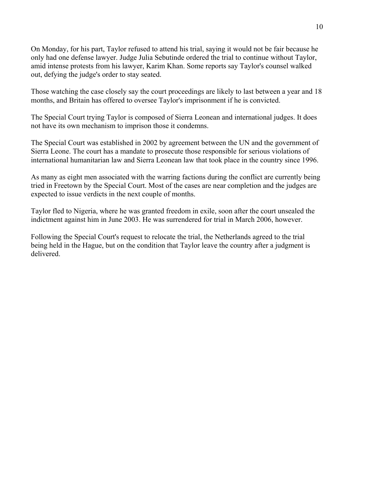On Monday, for his part, Taylor refused to attend his trial, saying it would not be fair because he only had one defense lawyer. Judge Julia Sebutinde ordered the trial to continue without Taylor, amid intense protests from his lawyer, Karim Khan. Some reports say Taylor's counsel walked out, defying the judge's order to stay seated.

Those watching the case closely say the court proceedings are likely to last between a year and 18 months, and Britain has offered to oversee Taylor's imprisonment if he is convicted.

The Special Court trying Taylor is composed of Sierra Leonean and international judges. It does not have its own mechanism to imprison those it condemns.

The Special Court was established in 2002 by agreement between the UN and the government of Sierra Leone. The court has a mandate to prosecute those responsible for serious violations of international humanitarian law and Sierra Leonean law that took place in the country since 1996.

As many as eight men associated with the warring factions during the conflict are currently being tried in Freetown by the Special Court. Most of the cases are near completion and the judges are expected to issue verdicts in the next couple of months.

Taylor fled to Nigeria, where he was granted freedom in exile, soon after the court unsealed the indictment against him in June 2003. He was surrendered for trial in March 2006, however.

Following the Special Court's request to relocate the trial, the Netherlands agreed to the trial being held in the Hague, but on the condition that Taylor leave the country after a judgment is delivered.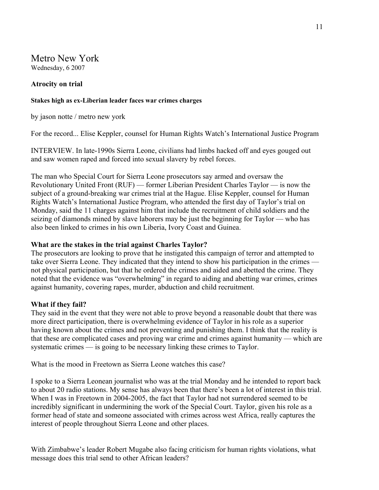Metro New York Wednesday, 6 2007

## **Atrocity on trial**

#### **Stakes high as ex-Liberian leader faces war crimes charges**

by jason notte / metro new york

For the record... Elise Keppler, counsel for Human Rights Watch's International Justice Program

INTERVIEW. In late-1990s Sierra Leone, civilians had limbs hacked off and eyes gouged out and saw women raped and forced into sexual slavery by rebel forces.

The man who Special Court for Sierra Leone prosecutors say armed and oversaw the Revolutionary United Front (RUF) — former Liberian President Charles Taylor — is now the subject of a ground-breaking war crimes trial at the Hague. Elise Keppler, counsel for Human Rights Watch's International Justice Program, who attended the first day of Taylor's trial on Monday, said the 11 charges against him that include the recruitment of child soldiers and the seizing of diamonds mined by slave laborers may be just the beginning for Taylor — who has also been linked to crimes in his own Liberia, Ivory Coast and Guinea.

#### **What are the stakes in the trial against Charles Taylor?**

The prosecutors are looking to prove that he instigated this campaign of terror and attempted to take over Sierra Leone. They indicated that they intend to show his participation in the crimes not physical participation, but that he ordered the crimes and aided and abetted the crime. They noted that the evidence was "overwhelming" in regard to aiding and abetting war crimes, crimes against humanity, covering rapes, murder, abduction and child recruitment.

#### **What if they fail?**

They said in the event that they were not able to prove beyond a reasonable doubt that there was more direct participation, there is overwhelming evidence of Taylor in his role as a superior having known about the crimes and not preventing and punishing them. I think that the reality is that these are complicated cases and proving war crime and crimes against humanity — which are systematic crimes — is going to be necessary linking these crimes to Taylor.

What is the mood in Freetown as Sierra Leone watches this case?

I spoke to a Sierra Leonean journalist who was at the trial Monday and he intended to report back to about 20 radio stations. My sense has always been that there's been a lot of interest in this trial. When I was in Freetown in 2004-2005, the fact that Taylor had not surrendered seemed to be incredibly significant in undermining the work of the Special Court. Taylor, given his role as a former head of state and someone associated with crimes across west Africa, really captures the interest of people throughout Sierra Leone and other places.

With Zimbabwe's leader Robert Mugabe also facing criticism for human rights violations, what message does this trial send to other African leaders?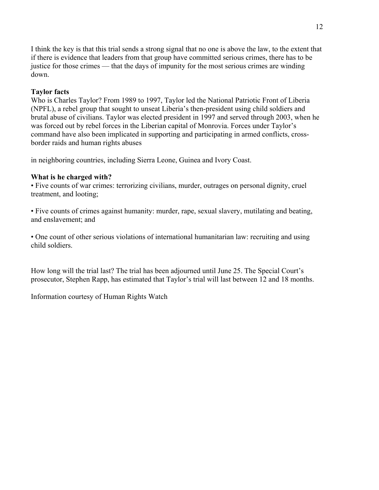I think the key is that this trial sends a strong signal that no one is above the law, to the extent that if there is evidence that leaders from that group have committed serious crimes, there has to be justice for those crimes — that the days of impunity for the most serious crimes are winding down.

## **Taylor facts**

Who is Charles Taylor? From 1989 to 1997, Taylor led the National Patriotic Front of Liberia (NPFL), a rebel group that sought to unseat Liberia's then-president using child soldiers and brutal abuse of civilians. Taylor was elected president in 1997 and served through 2003, when he was forced out by rebel forces in the Liberian capital of Monrovia. Forces under Taylor's command have also been implicated in supporting and participating in armed conflicts, crossborder raids and human rights abuses

in neighboring countries, including Sierra Leone, Guinea and Ivory Coast.

## **What is he charged with?**

• Five counts of war crimes: terrorizing civilians, murder, outrages on personal dignity, cruel treatment, and looting;

• Five counts of crimes against humanity: murder, rape, sexual slavery, mutilating and beating, and enslavement; and

• One count of other serious violations of international humanitarian law: recruiting and using child soldiers.

How long will the trial last? The trial has been adjourned until June 25. The Special Court's prosecutor, Stephen Rapp, has estimated that Taylor's trial will last between 12 and 18 months.

Information courtesy of Human Rights Watch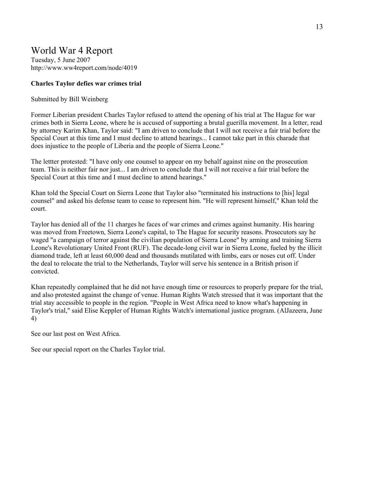## World War 4 Report

Tuesday, 5 June 2007 http://www.ww4report.com/node/4019

#### **Charles Taylor defies war crimes trial**

#### Submitted by Bill Weinberg

Former Liberian president Charles Taylor refused to attend the opening of his trial at The Hague for war crimes both in Sierra Leone, where he is accused of supporting a brutal guerilla movement. In a letter, read by attorney Karim Khan, Taylor said: "I am driven to conclude that I will not receive a fair trial before the Special Court at this time and I must decline to attend hearings... I cannot take part in this charade that does injustice to the people of Liberia and the people of Sierra Leone."

The lettter protested: "I have only one counsel to appear on my behalf against nine on the prosecution team. This is neither fair nor just... I am driven to conclude that I will not receive a fair trial before the Special Court at this time and I must decline to attend hearings."

Khan told the Special Court on Sierra Leone that Taylor also "terminated his instructions to [his] legal counsel" and asked his defense team to cease to represent him. "He will represent himself," Khan told the court.

Taylor has denied all of the 11 charges he faces of war crimes and crimes against humanity. His hearing was moved from Freetown, Sierra Leone's capital, to The Hague for security reasons. Prosecutors say he waged "a campaign of terror against the civilian population of Sierra Leone" by arming and training Sierra Leone's Revolutionary United Front (RUF). The decade-long civil war in Sierra Leone, fueled by the illicit diamond trade, left at least 60,000 dead and thousands mutilated with limbs, ears or noses cut off. Under the deal to relocate the trial to the Netherlands, Taylor will serve his sentence in a British prison if convicted.

Khan repeatedly complained that he did not have enough time or resources to properly prepare for the trial, and also protested against the change of venue. Human Rights Watch stressed that it was important that the trial stay accessible to people in the region. "People in West Africa need to know what's happening in Taylor's trial," said Elise Keppler of Human Rights Watch's international justice program. (AlJazeera, June 4)

See our last post on West Africa.

See our special report on the Charles Taylor trial.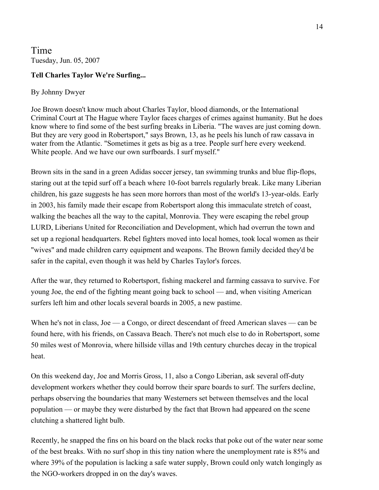Time Tuesday, Jun. 05, 2007

## **Tell Charles Taylor We're Surfing...**

## By Johnny Dwyer

Joe Brown doesn't know much about Charles Taylor, blood diamonds, or the International Criminal Court at The Hague where Taylor faces charges of crimes against humanity. But he does know where to find some of the best surfing breaks in Liberia. "The waves are just coming down. But they are very good in Robertsport," says Brown, 13, as he peels his lunch of raw cassava in water from the Atlantic. "Sometimes it gets as big as a tree. People surf here every weekend. White people. And we have our own surfboards. I surf myself."

Brown sits in the sand in a green Adidas soccer jersey, tan swimming trunks and blue flip-flops, staring out at the tepid surf off a beach where 10-foot barrels regularly break. Like many Liberian children, his gaze suggests he has seen more horrors than most of the world's 13-year-olds. Early in 2003, his family made their escape from Robertsport along this immaculate stretch of coast, walking the beaches all the way to the capital, Monrovia. They were escaping the rebel group LURD, Liberians United for Reconciliation and Development, which had overrun the town and set up a regional headquarters. Rebel fighters moved into local homes, took local women as their "wives" and made children carry equipment and weapons. The Brown family decided they'd be safer in the capital, even though it was held by Charles Taylor's forces.

After the war, they returned to Robertsport, fishing mackerel and farming cassava to survive. For young Joe, the end of the fighting meant going back to school — and, when visiting American surfers left him and other locals several boards in 2005, a new pastime.

When he's not in class, Joe — a Congo, or direct descendant of freed American slaves — can be found here, with his friends, on Cassava Beach. There's not much else to do in Robertsport, some 50 miles west of Monrovia, where hillside villas and 19th century churches decay in the tropical heat.

On this weekend day, Joe and Morris Gross, 11, also a Congo Liberian, ask several off-duty development workers whether they could borrow their spare boards to surf. The surfers decline, perhaps observing the boundaries that many Westerners set between themselves and the local population — or maybe they were disturbed by the fact that Brown had appeared on the scene clutching a shattered light bulb.

Recently, he snapped the fins on his board on the black rocks that poke out of the water near some of the best breaks. With no surf shop in this tiny nation where the unemployment rate is 85% and where 39% of the population is lacking a safe water supply, Brown could only watch longingly as the NGO-workers dropped in on the day's waves.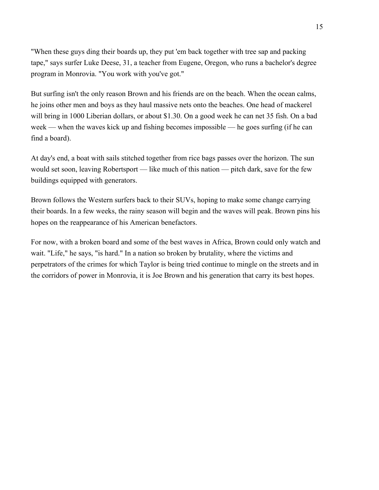"When these guys ding their boards up, they put 'em back together with tree sap and packing tape," says surfer Luke Deese, 31, a teacher from Eugene, Oregon, who runs a bachelor's degree program in Monrovia. "You work with you've got."

But surfing isn't the only reason Brown and his friends are on the beach. When the ocean calms, he joins other men and boys as they haul massive nets onto the beaches. One head of mackerel will bring in 1000 Liberian dollars, or about \$1.30. On a good week he can net 35 fish. On a bad week — when the waves kick up and fishing becomes impossible — he goes surfing (if he can find a board).

At day's end, a boat with sails stitched together from rice bags passes over the horizon. The sun would set soon, leaving Robertsport — like much of this nation — pitch dark, save for the few buildings equipped with generators.

Brown follows the Western surfers back to their SUVs, hoping to make some change carrying their boards. In a few weeks, the rainy season will begin and the waves will peak. Brown pins his hopes on the reappearance of his American benefactors.

For now, with a broken board and some of the best waves in Africa, Brown could only watch and wait. "Life," he says, "is hard." In a nation so broken by brutality, where the victims and perpetrators of the crimes for which Taylor is being tried continue to mingle on the streets and in the corridors of power in Monrovia, it is Joe Brown and his generation that carry its best hopes.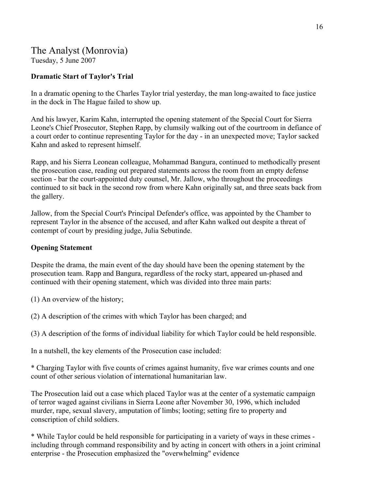## The Analyst (Monrovia)

Tuesday, 5 June 2007

## **Dramatic Start of Taylor's Trial**

In a dramatic opening to the Charles Taylor trial yesterday, the man long-awaited to face justice in the dock in The Hague failed to show up.

And his lawyer, Karim Kahn, interrupted the opening statement of the Special Court for Sierra Leone's Chief Prosecutor, Stephen Rapp, by clumsily walking out of the courtroom in defiance of a court order to continue representing Taylor for the day - in an unexpected move; Taylor sacked Kahn and asked to represent himself.

Rapp, and his Sierra Leonean colleague, Mohammad Bangura, continued to methodically present the prosecution case, reading out prepared statements across the room from an empty defense section - bar the court-appointed duty counsel, Mr. Jallow, who throughout the proceedings continued to sit back in the second row from where Kahn originally sat, and three seats back from the gallery.

Jallow, from the Special Court's Principal Defender's office, was appointed by the Chamber to represent Taylor in the absence of the accused, and after Kahn walked out despite a threat of contempt of court by presiding judge, Julia Sebutinde.

## **Opening Statement**

Despite the drama, the main event of the day should have been the opening statement by the prosecution team. Rapp and Bangura, regardless of the rocky start, appeared un-phased and continued with their opening statement, which was divided into three main parts:

(1) An overview of the history;

(2) A description of the crimes with which Taylor has been charged; and

(3) A description of the forms of individual liability for which Taylor could be held responsible.

In a nutshell, the key elements of the Prosecution case included:

\* Charging Taylor with five counts of crimes against humanity, five war crimes counts and one count of other serious violation of international humanitarian law.

The Prosecution laid out a case which placed Taylor was at the center of a systematic campaign of terror waged against civilians in Sierra Leone after November 30, 1996, which included murder, rape, sexual slavery, amputation of limbs; looting; setting fire to property and conscription of child soldiers.

\* While Taylor could be held responsible for participating in a variety of ways in these crimes including through command responsibility and by acting in concert with others in a joint criminal enterprise - the Prosecution emphasized the "overwhelming" evidence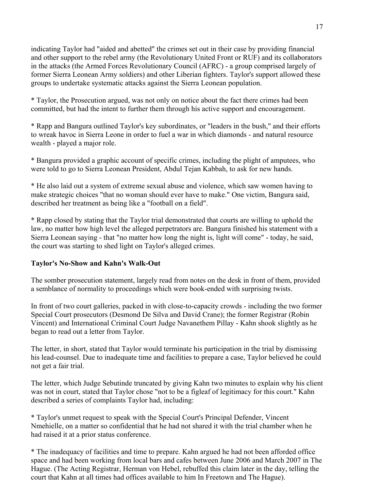indicating Taylor had "aided and abetted" the crimes set out in their case by providing financial and other support to the rebel army (the Revolutionary United Front or RUF) and its collaborators in the attacks (the Armed Forces Revolutionary Council (AFRC) - a group comprised largely of former Sierra Leonean Army soldiers) and other Liberian fighters. Taylor's support allowed these groups to undertake systematic attacks against the Sierra Leonean population.

\* Taylor, the Prosecution argued, was not only on notice about the fact there crimes had been committed, but had the intent to further them through his active support and encouragement.

\* Rapp and Bangura outlined Taylor's key subordinates, or "leaders in the bush," and their efforts to wreak havoc in Sierra Leone in order to fuel a war in which diamonds - and natural resource wealth - played a major role.

\* Bangura provided a graphic account of specific crimes, including the plight of amputees, who were told to go to Sierra Leonean President, Abdul Tejan Kabbah, to ask for new hands.

\* He also laid out a system of extreme sexual abuse and violence, which saw women having to make strategic choices "that no woman should ever have to make." One victim, Bangura said, described her treatment as being like a "football on a field".

\* Rapp closed by stating that the Taylor trial demonstrated that courts are willing to uphold the law, no matter how high level the alleged perpetrators are. Bangura finished his statement with a Sierra Leonean saying - that "no matter how long the night is, light will come" - today, he said, the court was starting to shed light on Taylor's alleged crimes.

## **Taylor's No-Show and Kahn's Walk-Out**

The somber prosecution statement, largely read from notes on the desk in front of them, provided a semblance of normality to proceedings which were book-ended with surprising twists.

In front of two court galleries, packed in with close-to-capacity crowds - including the two former Special Court prosecutors (Desmond De Silva and David Crane); the former Registrar (Robin Vincent) and International Criminal Court Judge Navanethem Pillay - Kahn shook slightly as he began to read out a letter from Taylor.

The letter, in short, stated that Taylor would terminate his participation in the trial by dismissing his lead-counsel. Due to inadequate time and facilities to prepare a case, Taylor believed he could not get a fair trial.

The letter, which Judge Sebutinde truncated by giving Kahn two minutes to explain why his client was not in court, stated that Taylor chose "not to be a figleaf of legitimacy for this court." Kahn described a series of complaints Taylor had, including:

\* Taylor's unmet request to speak with the Special Court's Principal Defender, Vincent Nmehielle, on a matter so confidential that he had not shared it with the trial chamber when he had raised it at a prior status conference.

\* The inadequacy of facilities and time to prepare. Kahn argued he had not been afforded office space and had been working from local bars and cafes between June 2006 and March 2007 in The Hague. (The Acting Registrar, Herman von Hebel, rebuffed this claim later in the day, telling the court that Kahn at all times had offices available to him In Freetown and The Hague).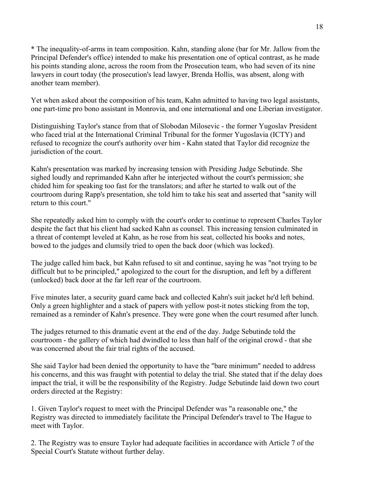\* The inequality-of-arms in team composition. Kahn, standing alone (bar for Mr. Jallow from the Principal Defender's office) intended to make his presentation one of optical contrast, as he made his points standing alone, across the room from the Prosecution team, who had seven of its nine lawyers in court today (the prosecution's lead lawyer, Brenda Hollis, was absent, along with another team member).

Yet when asked about the composition of his team, Kahn admitted to having two legal assistants, one part-time pro bono assistant in Monrovia, and one international and one Liberian investigator.

Distinguishing Taylor's stance from that of Slobodan Milosevic - the former Yugoslav President who faced trial at the International Criminal Tribunal for the former Yugoslavia (ICTY) and refused to recognize the court's authority over him - Kahn stated that Taylor did recognize the jurisdiction of the court.

Kahn's presentation was marked by increasing tension with Presiding Judge Sebutinde. She sighed loudly and reprimanded Kahn after he interjected without the court's permission; she chided him for speaking too fast for the translators; and after he started to walk out of the courtroom during Rapp's presentation, she told him to take his seat and asserted that "sanity will return to this court."

She repeatedly asked him to comply with the court's order to continue to represent Charles Taylor despite the fact that his client had sacked Kahn as counsel. This increasing tension culminated in a threat of contempt leveled at Kahn, as he rose from his seat, collected his books and notes, bowed to the judges and clumsily tried to open the back door (which was locked).

The judge called him back, but Kahn refused to sit and continue, saying he was "not trying to be difficult but to be principled," apologized to the court for the disruption, and left by a different (unlocked) back door at the far left rear of the courtroom.

Five minutes later, a security guard came back and collected Kahn's suit jacket he'd left behind. Only a green highlighter and a stack of papers with yellow post-it notes sticking from the top, remained as a reminder of Kahn's presence. They were gone when the court resumed after lunch.

The judges returned to this dramatic event at the end of the day. Judge Sebutinde told the courtroom - the gallery of which had dwindled to less than half of the original crowd - that she was concerned about the fair trial rights of the accused.

She said Taylor had been denied the opportunity to have the "bare minimum" needed to address his concerns, and this was fraught with potential to delay the trial. She stated that if the delay does impact the trial, it will be the responsibility of the Registry. Judge Sebutinde laid down two court orders directed at the Registry:

1. Given Taylor's request to meet with the Principal Defender was "a reasonable one," the Registry was directed to immediately facilitate the Principal Defender's travel to The Hague to meet with Taylor.

2. The Registry was to ensure Taylor had adequate facilities in accordance with Article 7 of the Special Court's Statute without further delay.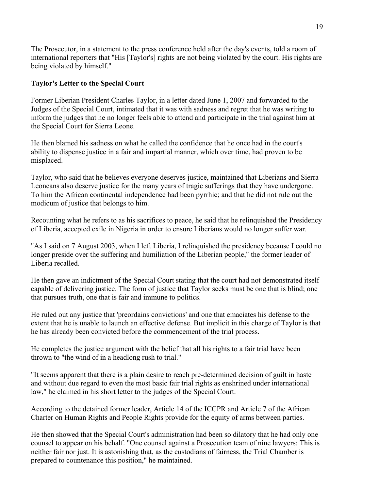The Prosecutor, in a statement to the press conference held after the day's events, told a room of international reporters that "His [Taylor's] rights are not being violated by the court. His rights are being violated by himself."

## **Taylor's Letter to the Special Court**

Former Liberian President Charles Taylor, in a letter dated June 1, 2007 and forwarded to the Judges of the Special Court, intimated that it was with sadness and regret that he was writing to inform the judges that he no longer feels able to attend and participate in the trial against him at the Special Court for Sierra Leone.

He then blamed his sadness on what he called the confidence that he once had in the court's ability to dispense justice in a fair and impartial manner, which over time, had proven to be misplaced.

Taylor, who said that he believes everyone deserves justice, maintained that Liberians and Sierra Leoneans also deserve justice for the many years of tragic sufferings that they have undergone. To him the African continental independence had been pyrrhic; and that he did not rule out the modicum of justice that belongs to him.

Recounting what he refers to as his sacrifices to peace, he said that he relinquished the Presidency of Liberia, accepted exile in Nigeria in order to ensure Liberians would no longer suffer war.

"As I said on 7 August 2003, when I left Liberia, I relinquished the presidency because I could no longer preside over the suffering and humiliation of the Liberian people," the former leader of Liberia recalled.

He then gave an indictment of the Special Court stating that the court had not demonstrated itself capable of delivering justice. The form of justice that Taylor seeks must be one that is blind; one that pursues truth, one that is fair and immune to politics.

He ruled out any justice that 'preordains convictions' and one that emaciates his defense to the extent that he is unable to launch an effective defense. But implicit in this charge of Taylor is that he has already been convicted before the commencement of the trial process.

He completes the justice argument with the belief that all his rights to a fair trial have been thrown to "the wind of in a headlong rush to trial."

"It seems apparent that there is a plain desire to reach pre-determined decision of guilt in haste and without due regard to even the most basic fair trial rights as enshrined under international law," he claimed in his short letter to the judges of the Special Court.

According to the detained former leader, Article 14 of the ICCPR and Article 7 of the African Charter on Human Rights and People Rights provide for the equity of arms between parties.

He then showed that the Special Court's administration had been so dilatory that he had only one counsel to appear on his behalf. "One counsel against a Prosecution team of nine lawyers: This is neither fair nor just. It is astonishing that, as the custodians of fairness, the Trial Chamber is prepared to countenance this position," he maintained.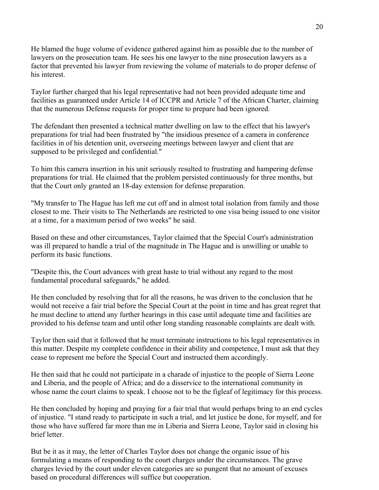He blamed the huge volume of evidence gathered against him as possible due to the number of lawyers on the prosecution team. He sees his one lawyer to the nine prosecution lawyers as a factor that prevented his lawyer from reviewing the volume of materials to do proper defense of his interest.

Taylor further charged that his legal representative had not been provided adequate time and facilities as guaranteed under Article 14 of ICCPR and Article 7 of the African Charter, claiming that the numerous Defense requests for proper time to prepare had been ignored.

The defendant then presented a technical matter dwelling on law to the effect that his lawyer's preparations for trial had been frustrated by "the insidious presence of a camera in conference facilities in of his detention unit, overseeing meetings between lawyer and client that are supposed to be privileged and confidential."

To him this camera insertion in his unit seriously resulted to frustrating and hampering defense preparations for trial. He claimed that the problem persisted continuously for three months, but that the Court only granted an 18-day extension for defense preparation.

"My transfer to The Hague has left me cut off and in almost total isolation from family and those closest to me. Their visits to The Netherlands are restricted to one visa being issued to one visitor at a time, for a maximum period of two weeks" he said.

Based on these and other circumstances, Taylor claimed that the Special Court's administration was ill prepared to handle a trial of the magnitude in The Hague and is unwilling or unable to perform its basic functions.

"Despite this, the Court advances with great haste to trial without any regard to the most fundamental procedural safeguards," he added.

He then concluded by resolving that for all the reasons, he was driven to the conclusion that he would not receive a fair trial before the Special Court at the point in time and has great regret that he must decline to attend any further hearings in this case until adequate time and facilities are provided to his defense team and until other long standing reasonable complaints are dealt with.

Taylor then said that it followed that he must terminate instructions to his legal representatives in this matter. Despite my complete confidence in their ability and competence, I must ask that they cease to represent me before the Special Court and instructed them accordingly.

He then said that he could not participate in a charade of injustice to the people of Sierra Leone and Liberia, and the people of Africa; and do a disservice to the international community in whose name the court claims to speak. I choose not to be the figleaf of legitimacy for this process.

He then concluded by hoping and praying for a fair trial that would perhaps bring to an end cycles of injustice. "I stand ready to participate in such a trial, and let justice be done, for myself, and for those who have suffered far more than me in Liberia and Sierra Leone, Taylor said in closing his brief letter.

But be it as it may, the letter of Charles Taylor does not change the organic issue of his formulating a means of responding to the court charges under the circumstances. The grave charges levied by the court under eleven categories are so pungent that no amount of excuses based on procedural differences will suffice but cooperation.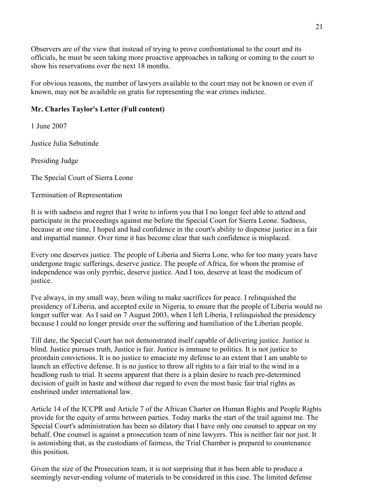Observers are of the view that instead of trying to prove confrontational to the court and its officials, he must be seen taking more proactive approaches in talking or coming to the court to show his reservations over the next 18 months.

For obvious reasons, the number of lawyers available to the court may not be known or even if known, may not be available on gratis for representing the war crimes indictee.

## **Mr. Charles Taylor's Letter (Full content)**

1 June 2007

Justice Julia Sebutinde

Presiding Judge

The Special Court of Sierra Leone

Termination of Representation

It is with sadness and regret that I write to inform you that I no longer feel able to attend and participate in the proceedings against me before the Special Court for Sierra Leone. Sadness, because at one time, I hoped and had confidence in the court's ability to dispense justice in a fair and impartial manner. Over time it has become clear that such confidence is misplaced.

Every one deserves justice. The people of Liberia and Sierra Lone, who for too many years have undergone tragic sufferings, deserve justice. The people of Africa, for whom the promise of independence was only pyrrhic, deserve justice. And I too, deserve at least the modicum of justice.

I've always, in my small way, been wiling to make sacrifices for peace. I relinquished the presidency of Liberia, and accepted exile in Nigeria, to ensure that the people of Liberia would no longer suffer war. As I said on 7 August 2003, when I left Liberia, I relinquished the presidency because I could no longer preside over the suffering and humiliation of the Liberian people.

Till date, the Special Court has not demonstrated itself capable of delivering justice. Justice is blind. Justice pursues truth, Justice is fair. Justice is immune to politics. It is not justice to preordain convictions. It is no justice to emaciate my defense to an extent that I am unable to launch an effective defense. It is no justice to throw all rights to a fair trial to the wind in a headlong rush to trial. It seems apparent that there is a plain desire to reach pre-determined decision of guilt in haste and without due regard to even the most basic fair trial rights as enshrined under international law.

Article 14 of the ICCPR and Article 7 of the African Charter on Human Rights and People Rights provide for the equity of arms between parties. Today marks the start of the trail against me. The Special Court's administration has been so dilatory that I have only one counsel to appear on my behalf. One counsel is against a prosecution team of nine lawyers. This is neither fair nor just. It is astonishing that, as the custodians of fairness, the Trial Chamber is prepared to countenance this position.

Given the size of the Prosecution team, it is not surprising that it has been able to produce a seemingly never-ending volume of materials to be considered in this case. The limited defense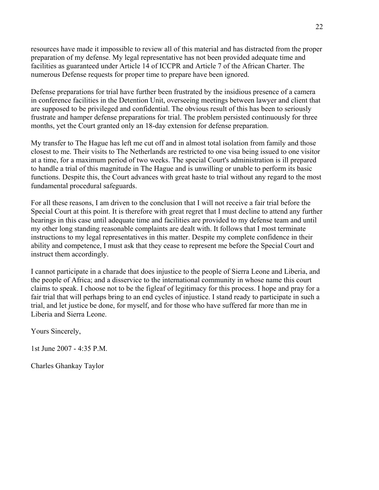resources have made it impossible to review all of this material and has distracted from the proper preparation of my defense. My legal representative has not been provided adequate time and facilities as guaranteed under Article 14 of ICCPR and Article 7 of the African Charter. The numerous Defense requests for proper time to prepare have been ignored.

Defense preparations for trial have further been frustrated by the insidious presence of a camera in conference facilities in the Detention Unit, overseeing meetings between lawyer and client that are supposed to be privileged and confidential. The obvious result of this has been to seriously frustrate and hamper defense preparations for trial. The problem persisted continuously for three months, yet the Court granted only an 18-day extension for defense preparation.

My transfer to The Hague has left me cut off and in almost total isolation from family and those closest to me. Their visits to The Netherlands are restricted to one visa being issued to one visitor at a time, for a maximum period of two weeks. The special Court's administration is ill prepared to handle a trial of this magnitude in The Hague and is unwilling or unable to perform its basic functions. Despite this, the Court advances with great haste to trial without any regard to the most fundamental procedural safeguards.

For all these reasons, I am driven to the conclusion that I will not receive a fair trial before the Special Court at this point. It is therefore with great regret that I must decline to attend any further hearings in this case until adequate time and facilities are provided to my defense team and until my other long standing reasonable complaints are dealt with. It follows that I most terminate instructions to my legal representatives in this matter. Despite my complete confidence in their ability and competence, I must ask that they cease to represent me before the Special Court and instruct them accordingly.

I cannot participate in a charade that does injustice to the people of Sierra Leone and Liberia, and the people of Africa; and a disservice to the international community in whose name this court claims to speak. I choose not to be the figleaf of legitimacy for this process. I hope and pray for a fair trial that will perhaps bring to an end cycles of injustice. I stand ready to participate in such a trial, and let justice be done, for myself, and for those who have suffered far more than me in Liberia and Sierra Leone.

Yours Sincerely,

1st June 2007 -  $4.35$  P M.

Charles Ghankay Taylor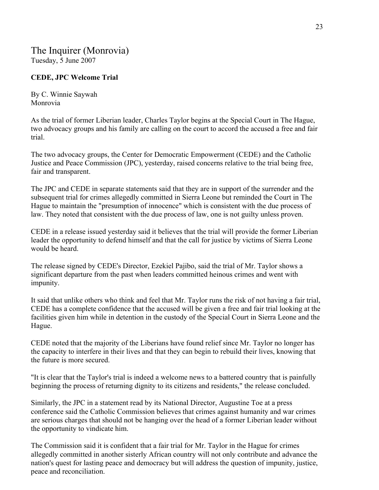## The Inquirer (Monrovia) Tuesday, 5 June 2007

## **CEDE, JPC Welcome Trial**

By C. Winnie Saywah Monrovia

As the trial of former Liberian leader, Charles Taylor begins at the Special Court in The Hague, two advocacy groups and his family are calling on the court to accord the accused a free and fair trial.

The two advocacy groups, the Center for Democratic Empowerment (CEDE) and the Catholic Justice and Peace Commission (JPC), yesterday, raised concerns relative to the trial being free, fair and transparent.

The JPC and CEDE in separate statements said that they are in support of the surrender and the subsequent trial for crimes allegedly committed in Sierra Leone but reminded the Court in The Hague to maintain the "presumption of innocence" which is consistent with the due process of law. They noted that consistent with the due process of law, one is not guilty unless proven.

CEDE in a release issued yesterday said it believes that the trial will provide the former Liberian leader the opportunity to defend himself and that the call for justice by victims of Sierra Leone would be heard.

The release signed by CEDE's Director, Ezekiel Pajibo, said the trial of Mr. Taylor shows a significant departure from the past when leaders committed heinous crimes and went with impunity.

It said that unlike others who think and feel that Mr. Taylor runs the risk of not having a fair trial, CEDE has a complete confidence that the accused will be given a free and fair trial looking at the facilities given him while in detention in the custody of the Special Court in Sierra Leone and the Hague.

CEDE noted that the majority of the Liberians have found relief since Mr. Taylor no longer has the capacity to interfere in their lives and that they can begin to rebuild their lives, knowing that the future is more secured.

"It is clear that the Taylor's trial is indeed a welcome news to a battered country that is painfully beginning the process of returning dignity to its citizens and residents," the release concluded.

Similarly, the JPC in a statement read by its National Director, Augustine Toe at a press conference said the Catholic Commission believes that crimes against humanity and war crimes are serious charges that should not be hanging over the head of a former Liberian leader without the opportunity to vindicate him.

The Commission said it is confident that a fair trial for Mr. Taylor in the Hague for crimes allegedly committed in another sisterly African country will not only contribute and advance the nation's quest for lasting peace and democracy but will address the question of impunity, justice, peace and reconciliation.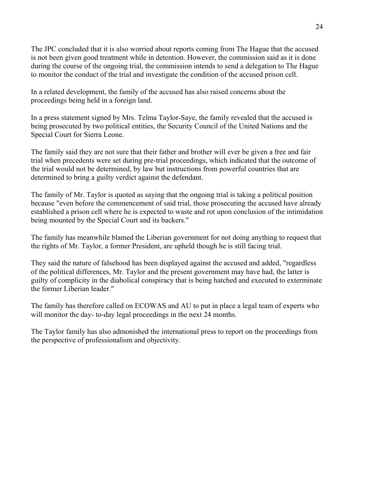The JPC concluded that it is also worried about reports coming from The Hague that the accused is not been given good treatment while in detention. However, the commission said as it is done during the course of the ongoing trial, the commission intends to send a delegation to The Hague to monitor the conduct of the trial and investigate the condition of the accused prison cell.

In a related development, the family of the accused has also raised concerns about the proceedings being held in a foreign land.

In a press statement signed by Mrs. Telma Taylor-Saye, the family revealed that the accused is being prosecuted by two political entities, the Security Council of the United Nations and the Special Court for Sierra Leone.

The family said they are not sure that their father and brother will ever be given a free and fair trial when precedents were set during pre-trial proceedings, which indicated that the outcome of the trial would not be determined, by law but instructions from powerful countries that are determined to bring a guilty verdict against the defendant.

The family of Mr. Taylor is quoted as saying that the ongoing trial is taking a political position because "even before the commencement of said trial, those prosecuting the accused have already established a prison cell where he is expected to waste and rot upon conclusion of the intimidation being mounted by the Special Court and its backers."

The family has meanwhile blamed the Liberian government for not doing anything to request that the rights of Mr. Taylor, a former President, are upheld though he is still facing trial.

They said the nature of falsehood has been displayed against the accused and added, "regardless of the political differences, Mr. Taylor and the present government may have had, the latter is guilty of complicity in the diabolical conspiracy that is being hatched and executed to exterminate the former Liberian leader."

The family has therefore called on ECOWAS and AU to put in place a legal team of experts who will monitor the day- to-day legal proceedings in the next 24 months.

The Taylor family has also admonished the international press to report on the proceedings from the perspective of professionalism and objectivity.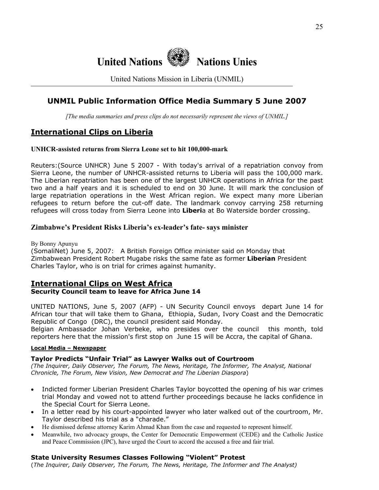

United Nations Mission in Liberia (UNMIL)

## **UNMIL Public Information Office Media Summary 5 June 2007**

*[The media summaries and press clips do not necessarily represent the views of UNMIL.]*

## **International Clips on Liberia**

#### **UNHCR-assisted returns from Sierra Leone set to hit 100,000-mark**

Reuters:(Source UNHCR) June 5 2007 - With today's arrival of a repatriation convoy from Sierra Leone, the number of UNHCR-assisted returns to Liberia will pass the 100,000 mark. The Liberian repatriation has been one of the largest UNHCR operations in Africa for the past two and a half years and it is scheduled to end on 30 June. It will mark the conclusion of large repatriation operations in the West African region. We expect many more Liberian refugees to return before the cut-off date. The landmark convoy carrying 258 returning refugees will cross today from Sierra Leone into **Liberi**a at Bo Waterside border crossing.

#### **Zimbabwe's President Risks Liberia's ex-leader's fate- says minister**

By Bonny Apunyu

(SomaliNet) June 5, 2007: A British Foreign Office minister said on Monday that Zimbabwean President Robert Mugabe risks the same fate as former **Liberian** President Charles Taylor, who is on trial for crimes against humanity.

## **International Clips on West Africa**

#### **Security Council team to leave for Africa June 14**

UNITED NATIONS, June 5, 2007 (AFP) - UN Security Council envoys depart June 14 for African tour that will take them to Ghana, Ethiopia, Sudan, Ivory Coast and the Democratic Republic of Congo (DRC), the council president said Monday.

Belgian Ambassador Johan Verbeke, who presides over the council this month, told reporters here that the mission's first stop on June 15 will be Accra, the capital of Ghana.

#### **Local Media – Newspaper**

#### **Taylor Predicts "Unfair Trial" as Lawyer Walks out of Courtroom**

*(The Inquirer, Daily Observer, The Forum, The News, Heritage, The Informer, The Analyst, National Chronicle, The Forum, New Vision, New Democrat and The Liberian Diaspora*)

- Indicted former Liberian President Charles Taylor boycotted the opening of his war crimes trial Monday and vowed not to attend further proceedings because he lacks confidence in the Special Court for Sierra Leone.
- In a letter read by his court-appointed lawyer who later walked out of the courtroom, Mr. Taylor described his trial as a "charade."
- He dismissed defense attorney Karim Ahmad Khan from the case and requested to represent himself.
- Meanwhile, two advocacy groups, the Center for Democratic Empowerment (CEDE) and the Catholic Justice and Peace Commission (JPC), have urged the Court to accord the accused a free and fair trial.

#### **State University Resumes Classes Following "Violent" Protest**

(*The Inquirer, Daily Observer, The Forum, The News, Heritage, The Informer and The Analyst)*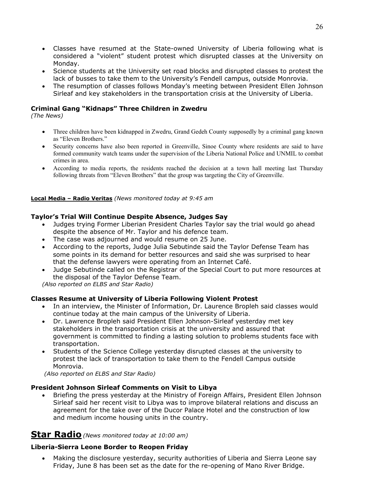- Classes have resumed at the State-owned University of Liberia following what is considered a "violent" student protest which disrupted classes at the University on Monday.
- Science students at the University set road blocks and disrupted classes to protest the lack of busses to take them to the University's Fendell campus, outside Monrovia.
- The resumption of classes follows Monday's meeting between President Ellen Johnson Sirleaf and key stakeholders in the transportation crisis at the University of Liberia.

## **Criminal Gang "Kidnaps" Three Children in Zwedru**

*(The News)* 

- Three children have been kidnapped in Zwedru, Grand Gedeh County supposedly by a criminal gang known as "Eleven Brothers."
- Security concerns have also been reported in Greenville, Sinoe County where residents are said to have formed community watch teams under the supervision of the Liberia National Police and UNMIL to combat crimes in area.
- According to media reports, the residents reached the decision at a town hall meeting last Thursday following threats from "Eleven Brothers" that the group was targeting the City of Greenville.

#### **Local Media – Radio Veritas** *(News monitored today at 9:45 am*

#### **Taylor's Trial Will Continue Despite Absence, Judges Say**

- Judges trying Former Liberian President Charles Taylor say the trial would go ahead despite the absence of Mr. Taylor and his defence team.
- The case was adjourned and would resume on 25 June.
- According to the reports, Judge Julia Sebutinde said the Taylor Defense Team has some points in its demand for better resources and said she was surprised to hear that the defense lawyers were operating from an Internet Café.
- Judge Sebutinde called on the Registrar of the Special Court to put more resources at the disposal of the Taylor Defense Team.

*(Also reported on ELBS and Star Radio)*

#### **Classes Resume at University of Liberia Following Violent Protest**

- In an interview, the Minister of Information, Dr. Laurence Bropleh said classes would continue today at the main campus of the University of Liberia.
- Dr. Lawrence Bropleh said President Ellen Johnson-Sirleaf yesterday met key stakeholders in the transportation crisis at the university and assured that government is committed to finding a lasting solution to problems students face with transportation.
- Students of the Science College yesterday disrupted classes at the university to protest the lack of transportation to take them to the Fendell Campus outside Monrovia.

*(Also reported on ELBS and Star Radio)* 

#### **President Johnson Sirleaf Comments on Visit to Libya**

• Briefing the press yesterday at the Ministry of Foreign Affairs, President Ellen Johnson Sirleaf said her recent visit to Libya was to improve bilateral relations and discuss an agreement for the take over of the Ducor Palace Hotel and the construction of low and medium income housing units in the country.

## **Star Radio***(News monitored today at 10:00 am)*

## **Liberia-Sierra Leone Border to Reopen Friday**

• Making the disclosure yesterday, security authorities of Liberia and Sierra Leone say Friday, June 8 has been set as the date for the re-opening of Mano River Bridge.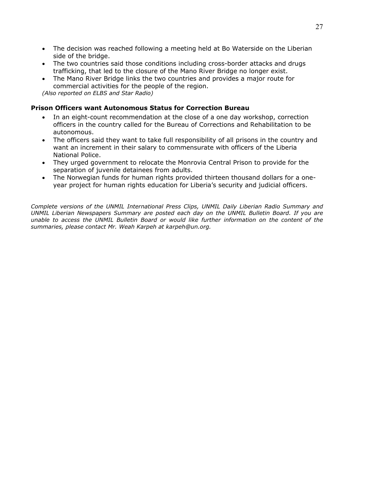- The decision was reached following a meeting held at Bo Waterside on the Liberian side of the bridge.
- The two countries said those conditions including cross-border attacks and drugs trafficking, that led to the closure of the Mano River Bridge no longer exist.
- The Mano River Bridge links the two countries and provides a major route for commercial activities for the people of the region.

*(Also reported on ELBS and Star Radio)*

#### **Prison Officers want Autonomous Status for Correction Bureau**

- In an eight-count recommendation at the close of a one day workshop, correction officers in the country called for the Bureau of Corrections and Rehabilitation to be autonomous.
- The officers said they want to take full responsibility of all prisons in the country and want an increment in their salary to commensurate with officers of the Liberia National Police.
- They urged government to relocate the Monrovia Central Prison to provide for the separation of juvenile detainees from adults.
- The Norwegian funds for human rights provided thirteen thousand dollars for a oneyear project for human rights education for Liberia's security and judicial officers.

*Complete versions of the UNMIL International Press Clips, UNMIL Daily Liberian Radio Summary and UNMIL Liberian Newspapers Summary are posted each day on the UNMIL Bulletin Board. If you are unable to access the UNMIL Bulletin Board or would like further information on the content of the summaries, please contact Mr. Weah Karpeh at karpeh@un.org.*